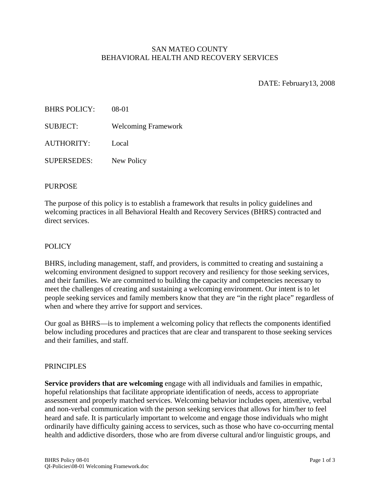## SAN MATEO COUNTY BEHAVIORAL HEALTH AND RECOVERY SERVICES

DATE: February13, 2008

| <b>BHRS POLICY:</b> | 08-01                      |
|---------------------|----------------------------|
| <b>SUBJECT:</b>     | <b>Welcoming Framework</b> |
| AUTHORITY:          | Local                      |
| <b>SUPERSEDES:</b>  | New Policy                 |

# PURPOSE

The purpose of this policy is to establish a framework that results in policy guidelines and welcoming practices in all Behavioral Health and Recovery Services (BHRS) contracted and direct services.

### **POLICY**

BHRS, including management, staff, and providers, is committed to creating and sustaining a welcoming environment designed to support recovery and resiliency for those seeking services, and their families. We are committed to building the capacity and competencies necessary to meet the challenges of creating and sustaining a welcoming environment. Our intent is to let people seeking services and family members know that they are "in the right place" regardless of when and where they arrive for support and services.

Our goal as BHRS—is to implement a welcoming policy that reflects the components identified below including procedures and practices that are clear and transparent to those seeking services and their families, and staff.

#### PRINCIPLES

**Service providers that are welcoming** engage with all individuals and families in empathic, hopeful relationships that facilitate appropriate identification of needs, access to appropriate assessment and properly matched services. Welcoming behavior includes open, attentive, verbal and non-verbal communication with the person seeking services that allows for him/her to feel heard and safe. It is particularly important to welcome and engage those individuals who might ordinarily have difficulty gaining access to services, such as those who have co-occurring mental health and addictive disorders, those who are from diverse cultural and/or linguistic groups, and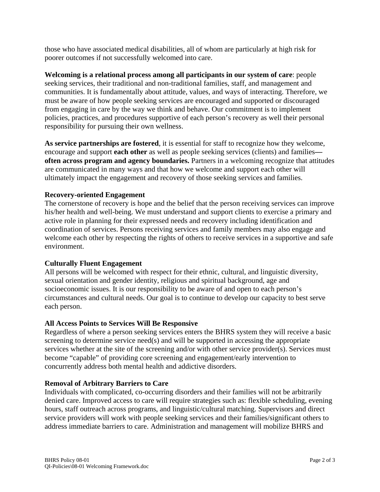those who have associated medical disabilities, all of whom are particularly at high risk for poorer outcomes if not successfully welcomed into care.

**Welcoming is a relational process among all participants in our system of care**: people seeking services, their traditional and non-traditional families, staff, and management and communities. It is fundamentally about attitude, values, and ways of interacting. Therefore, we must be aware of how people seeking services are encouraged and supported or discouraged from engaging in care by the way we think and behave. Our commitment is to implement policies, practices, and procedures supportive of each person's recovery as well their personal responsibility for pursuing their own wellness.

**As service partnerships are fostered**, it is essential for staff to recognize how they welcome, encourage and support **each other** as well as people seeking services (clients) and families **often across program and agency boundaries.** Partners in a welcoming recognize that attitudes are communicated in many ways and that how we welcome and support each other will ultimately impact the engagement and recovery of those seeking services and families.

# **Recovery-oriented Engagement**

The cornerstone of recovery is hope and the belief that the person receiving services can improve his/her health and well-being. We must understand and support clients to exercise a primary and active role in planning for their expressed needs and recovery including identification and coordination of services. Persons receiving services and family members may also engage and welcome each other by respecting the rights of others to receive services in a supportive and safe environment.

## **Culturally Fluent Engagement**

All persons will be welcomed with respect for their ethnic, cultural, and linguistic diversity, sexual orientation and gender identity, religious and spiritual background, age and socioeconomic issues. It is our responsibility to be aware of and open to each person's circumstances and cultural needs. Our goal is to continue to develop our capacity to best serve each person.

## **All Access Points to Services Will Be Responsive**

Regardless of where a person seeking services enters the BHRS system they will receive a basic screening to determine service need(s) and will be supported in accessing the appropriate services whether at the site of the screening and/or with other service provider(s). Services must become "capable" of providing core screening and engagement/early intervention to concurrently address both mental health and addictive disorders.

## **Removal of Arbitrary Barriers to Care**

Individuals with complicated, co-occurring disorders and their families will not be arbitrarily denied care. Improved access to care will require strategies such as: flexible scheduling, evening hours, staff outreach across programs, and linguistic/cultural matching. Supervisors and direct service providers will work with people seeking services and their families/significant others to address immediate barriers to care. Administration and management will mobilize BHRS and